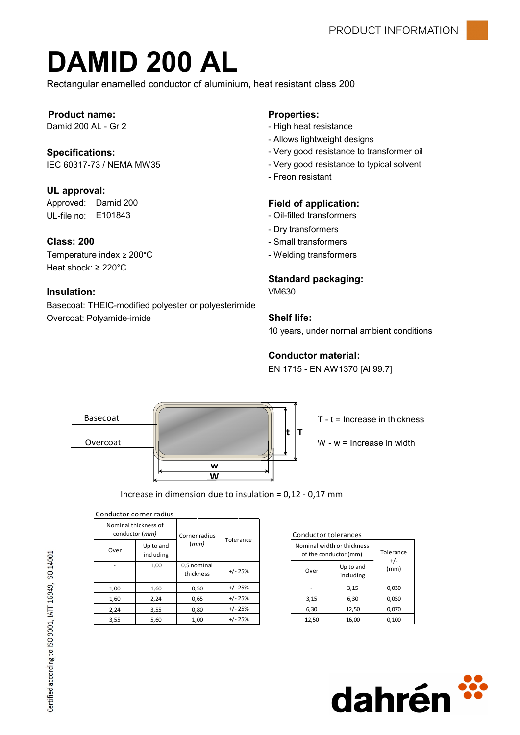# DAMID 200 AL

Rectangular enamelled conductor of aluminium, heat resistant class 200

#### Product name: Properties:

#### Specifications:

### UL approval:

UL-file no: E101843 - Oil-filled transformers Approved: Damid 200

#### Class: 200

Temperature index ≥ 200°C **and interval temperature index** ≥ 200°C Heat shock: ≥ 220°C

#### Insulation:

Basecoat: THEIC-modified polyester or polyesterimide Overcoat: Polyamide-imide

- Damid 200 AL Gr 2 The Contract of the High heat resistance
	- Allows lightweight designs
	- Very good resistance to transformer oil
- IEC 60317-73 / NEMA MW35 Very good resistance to typical solvent
	- Freon resistant

#### Field of application:

- 
- Dry transformers
- Small transformers
- 

#### Standard packaging:

VM630

#### Shelf life:

10 years, under normal ambient conditions

#### Conductor material:

EN 1715 - EN AW1370 [Al 99.7]



Increase in dimension due to insulation = 0,12 - 0,17 mm

| Conductor corner radius                         |                        |                          |           |                                                         |       |         |
|-------------------------------------------------|------------------------|--------------------------|-----------|---------------------------------------------------------|-------|---------|
| Nominal thickness of<br>conductor ( <i>mm</i> ) |                        | Corner radius            |           | Conductor tolera<br>Nominal width or<br>of the conducto |       |         |
| Over                                            | Up to and<br>including | (mm)                     | Tolerance |                                                         |       |         |
|                                                 | 1,00                   | 0,5 nominal<br>thickness | $+/- 25%$ |                                                         | Over  | U<br>ir |
| 1,00                                            | 1,60                   | 0,50                     | $+/- 25%$ |                                                         |       |         |
| 1,60                                            | 2,24                   | 0,65                     | $+/- 25%$ |                                                         | 3,15  |         |
| 2,24                                            | 3,55                   | 0,80                     | $+/- 25%$ |                                                         | 6,30  |         |
| 3,55                                            | 5,60                   | 1,00                     | $+/- 25%$ |                                                         | 12,50 |         |

| Conductor tolerances |  |  |
|----------------------|--|--|
|                      |  |  |

| .                       | Tolerance |        |                                                     |                    |  |
|-------------------------|-----------|--------|-----------------------------------------------------|--------------------|--|
| (mm)                    |           |        | Nominal width or thickness<br>of the conductor (mm) | Tolerance<br>$+/-$ |  |
| ,5 nominal<br>thickness | $+/- 25%$ | Over   | Up to and<br>including                              | (mm)               |  |
| 0,50                    | +/- 25%   | $\sim$ | 3,15                                                | 0,030              |  |
| 0,65                    | $+/- 25%$ | 3,15   | 6,30                                                | 0,050              |  |
| 0,80                    | $+/- 25%$ | 6,30   | 12,50                                               | 0,070              |  |
| 1,00                    | $+/- 25%$ | 12,50  | 16,00                                               | 0,100              |  |